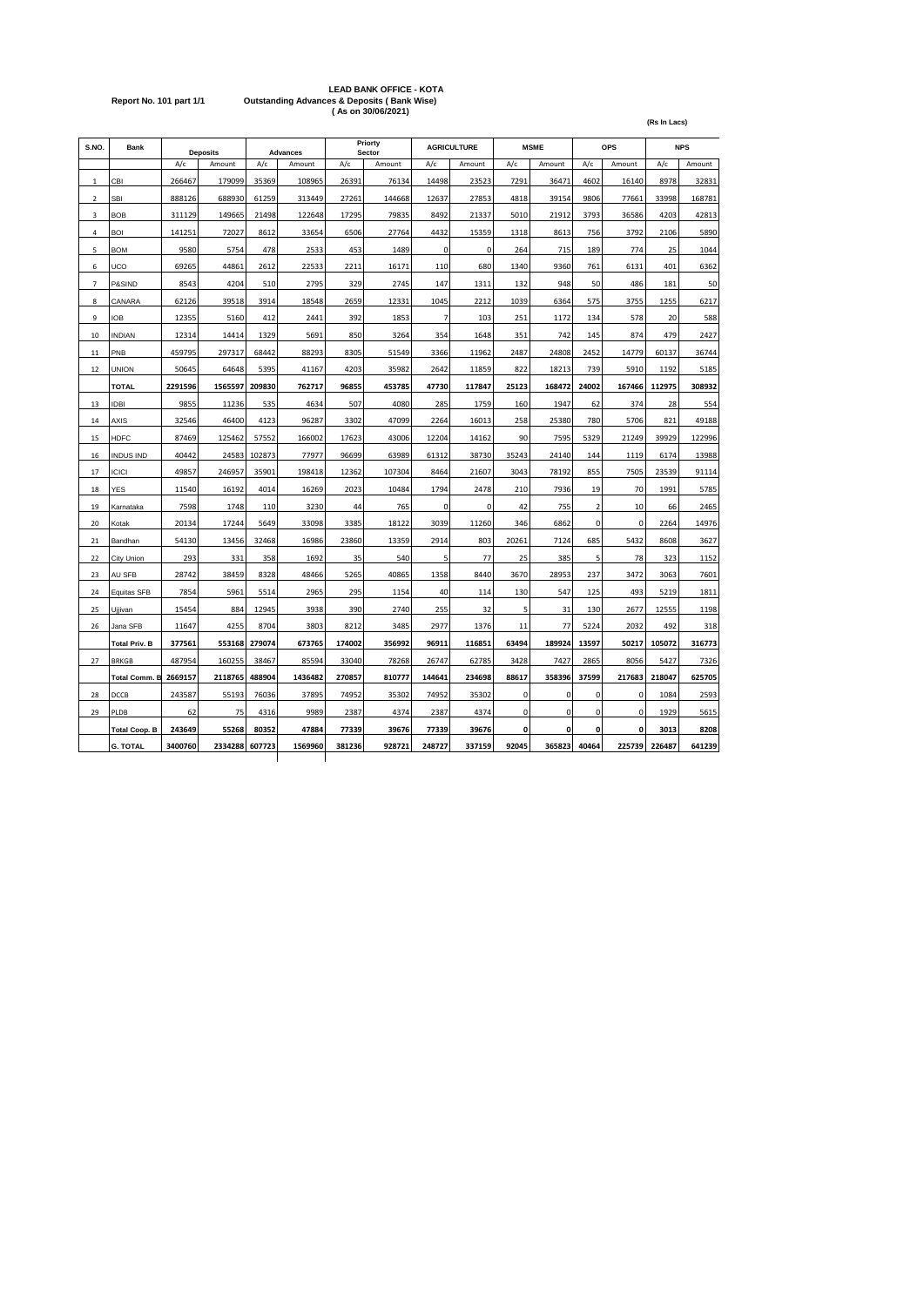## LEAD BANK OFFICE - KOTA<br>Report No. 101 part 1/1 Outstanding Advances & Deposits ( Bank Wise)<br>As on 30/06/2021)

|                          |                      |         |                 |        |                 |        |                   |                |                    |             |        |                | (Rs In Lacs) |        |            |
|--------------------------|----------------------|---------|-----------------|--------|-----------------|--------|-------------------|----------------|--------------------|-------------|--------|----------------|--------------|--------|------------|
| S.NO.                    | <b>Bank</b>          |         | <b>Deposits</b> |        | <b>Advances</b> |        | Priorty<br>Sector |                | <b>AGRICULTURE</b> | <b>MSME</b> |        |                | OPS          |        | <b>NPS</b> |
|                          |                      | A/c     | Amount          | A/c    | Amount          | A/c    | Amount            | A/c            | Amount             | A/c         | Amount | A/c            | Amount       | A/c    | Amount     |
| $\mathbf 1$              | CBI                  | 266467  | 179099          | 35369  | 108965          | 26391  | 76134             | 14498          | 23523              | 7291        | 36471  | 4602           | 16140        | 8978   | 32831      |
| $\overline{\mathbf{2}}$  | <b>SBI</b>           | 888126  | 688930          | 61259  | 313449          | 27261  | 144668            | 12637          | 27853              | 4818        | 39154  | 9806           | 77661        | 33998  | 168781     |
| 3                        | <b>BOB</b>           | 311129  | 149665          | 21498  | 122648          | 17295  | 79835             | 8492           | 21337              | 5010        | 21912  | 3793           | 36586        | 4203   | 42813      |
| 4                        | BOI                  | 141251  | 72027           | 8612   | 33654           | 6506   | 27764             | 4432           | 15359              | 1318        | 8613   | 756            | 3792         | 2106   | 5890       |
| 5                        | <b>BOM</b>           | 9580    | 5754            | 478    | 2533            | 453    | 1489              | $\mathbf 0$    | $\Omega$           | 264         | 715    | 189            | 774          | 25     | 1044       |
| 6                        | UCO                  | 69265   | 44861           | 2612   | 22533           | 2211   | 16171             | 110            | 680                | 1340        | 9360   | 761            | 6131         | 401    | 6362       |
| $\overline{\phantom{a}}$ | P&SIND               | 8543    | 4204            | 510    | 2795            | 329    | 2745              | 147            | 1311               | 132         | 948    | 50             | 486          | 181    | 50         |
| 8                        | CANARA               | 62126   | 39518           | 3914   | 18548           | 2659   | 12331             | 1045           | 2212               | 1039        | 6364   | 575            | 3755         | 1255   | 6217       |
| 9                        | <b>IOB</b>           | 12355   | 5160            | 412    | 2441            | 392    | 1853              | $\overline{7}$ | 103                | 251         | 1172   | 134            | 578          | 20     | 588        |
| 10                       | <b>INDIAN</b>        | 12314   | 14414           | 1329   | 5691            | 850    | 3264              | 354            | 1648               | 351         | 742    | 145            | 874          | 479    | 2427       |
| 11                       | PNB                  | 459795  | 297317          | 68442  | 88293           | 8305   | 51549             | 3366           | 11962              | 2487        | 24808  | 2452           | 14779        | 60137  | 36744      |
| 12                       | <b>UNION</b>         | 50645   | 64648           | 5395   | 41167           | 4203   | 35982             | 2642           | 11859              | 822         | 18213  | 739            | 5910         | 1192   | 5185       |
|                          | <b>TOTAL</b>         | 2291596 | 1565597         | 209830 | 762717          | 96855  | 453785            | 47730          | 117847             | 25123       | 168472 | 24002          | 167466       | 112975 | 308932     |
| 13                       | <b>IDBI</b>          | 9855    | 11236           | 535    | 4634            | 507    | 4080              | 285            | 1759               | 160         | 1947   | 62             | 374          | 28     | 554        |
| 14                       | AXIS                 | 32546   | 46400           | 4123   | 96287           | 3302   | 47099             | 2264           | 16013              | 258         | 25380  | 780            | 5706         | 821    | 49188      |
| 15                       | <b>HDFC</b>          | 87469   | 125462          | 57552  | 166002          | 17623  | 43006             | 12204          | 14162              | 90          | 7595   | 5329           | 21249        | 39929  | 122996     |
| 16                       | <b>INDUS IND</b>     | 40442   | 24583           | 102873 | 77977           | 96699  | 63989             | 61312          | 38730              | 35243       | 24140  | 144            | 1119         | 6174   | 13988      |
| 17                       | <b>ICICI</b>         | 49857   | 246957          | 35901  | 198418          | 12362  | 107304            | 8464           | 21607              | 3043        | 78192  | 855            | 7505         | 23539  | 91114      |
| 18                       | <b>YES</b>           | 11540   | 16192           | 4014   | 16269           | 2023   | 10484             | 1794           | 2478               | 210         | 7936   | 19             | 70           | 1991   | 5785       |
| 19                       | Karnataka            | 7598    | 1748            | 110    | 3230            | 44     | 765               | $\mathbf 0$    | $\mathbf 0$        | 42          | 755    | $\overline{2}$ | 10           | 66     | 2465       |
| 20                       | Kotak                | 20134   | 17244           | 5649   | 33098           | 3385   | 18122             | 3039           | 11260              | 346         | 6862   | $\mathbf 0$    | 0            | 2264   | 14976      |
| 21                       | Bandhan              | 54130   | 13456           | 32468  | 16986           | 23860  | 13359             | 2914           | 803                | 20261       | 7124   | 685            | 5432         | 8608   | 3627       |
| 22                       | City Union           | 293     | 331             | 358    | 1692            | 35     | 540               | 5              | 77                 | 25          | 385    | 5              | 78           | 323    | 1152       |
| 23                       | AU SFB               | 28742   | 38459           | 8328   | 48466           | 5265   | 40865             | 1358           | 8440               | 3670        | 28953  | 237            | 3472         | 3063   | 7601       |
| 24                       | Equitas SFB          | 7854    | 5961            | 5514   | 2965            | 295    | 1154              | 40             | 114                | 130         | 547    | 125            | 493          | 5219   | 1811       |
| 25                       | <b>Ujjivan</b>       | 15454   | 884             | 12945  | 3938            | 390    | 2740              | 255            | 32                 | 5           | 31     | 130            | 2677         | 12555  | 1198       |
| 26                       | Jana SFB             | 11647   | 4255            | 8704   | 3803            | 8212   | 3485              | 2977           | 1376               | 11          | 77     | 5224           | 2032         | 492    | 318        |
|                          | <b>Total Priv. B</b> | 377561  | 553168          | 279074 | 673765          | 174002 | 356992            | 96911          | 116851             | 63494       | 189924 | 13597          | 50217        | 105072 | 316773     |
| 27                       | <b>BRKGB</b>         | 487954  | 160255          | 38467  | 85594           | 33040  | 78268             | 26747          | 62785              | 3428        | 7427   | 2865           | 8056         | 5427   | 7326       |
|                          | <b>Total Comm. B</b> | 2669157 | 2118765         | 488904 | 1436482         | 270857 | 810777            | 144641         | 234698             | 88617       | 358396 | 37599          | 217683       | 218047 | 625705     |
| 28                       | DCCB                 | 243587  | 55193           | 76036  | 37895           | 74952  | 35302             | 74952          | 35302              | 0           | 0      | 0              | $\mathbf 0$  | 1084   | 2593       |
| 29                       | PLDB                 | 62      | 75              | 4316   | 9989            | 2387   | 4374              | 2387           | 4374               | 0           | 0      | 0              | 0            | 1929   | 5615       |
|                          | <b>Total Coop. B</b> | 243649  | 55268           | 80352  | 47884           | 77339  | 39676             | 77339          | 39676              | 0           | 0      | 0              | $\pmb{0}$    | 3013   | 8208       |
|                          | <b>G. TOTAL</b>      | 3400760 | 2334288         | 607723 | 1569960         | 381236 | 928721            | 248727         | 337159             | 92045       | 365823 | 40464          | 225739       | 226487 | 641239     |
|                          |                      |         |                 |        |                 |        |                   |                |                    |             |        |                |              |        |            |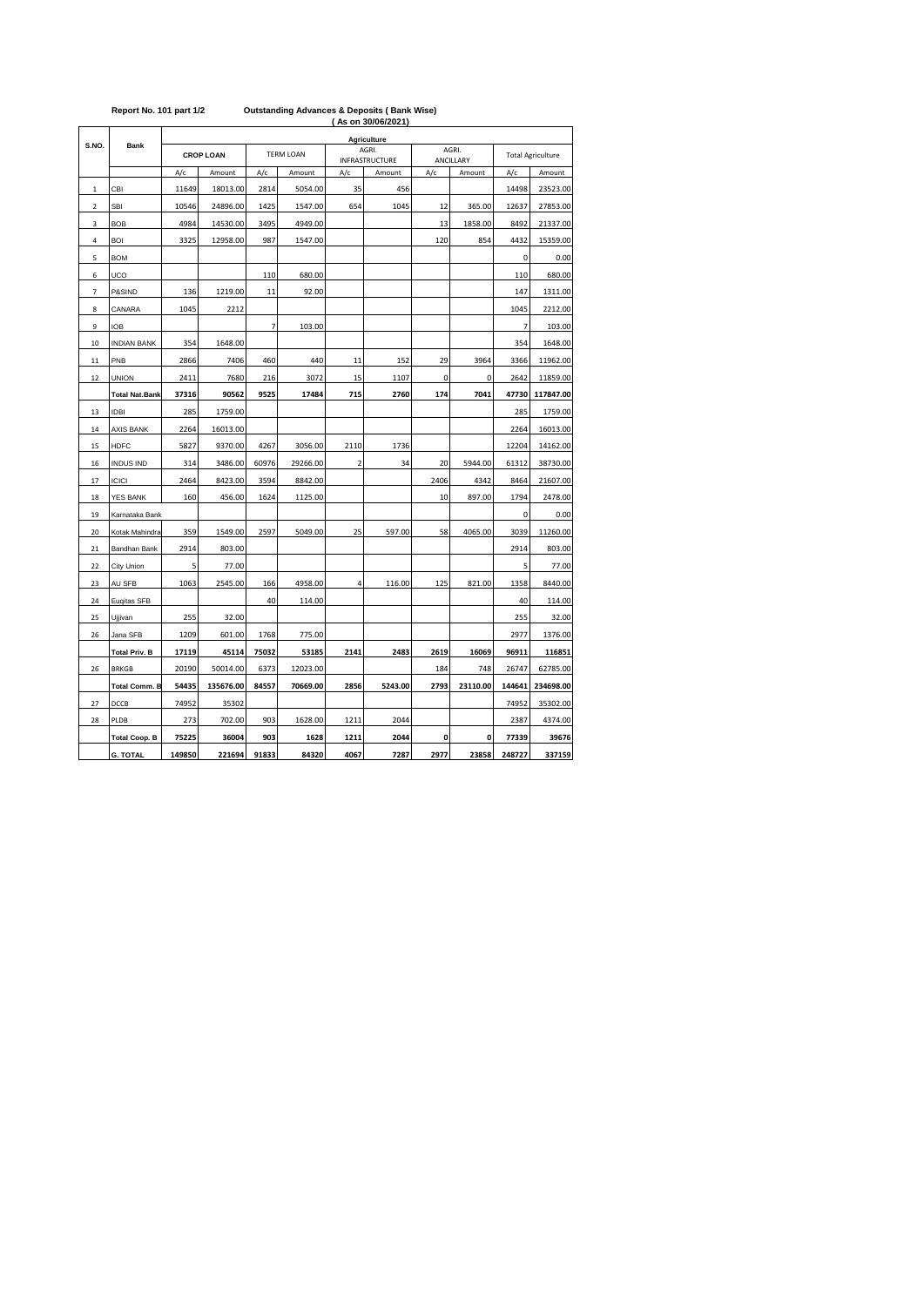|                          | Report No. 101 part 1/2 |        |                  |                | <b>Outstanding Advances &amp; Deposits (Bank Wise)</b> |                | (As on 30/06/2021)             |                    |          |                          |           |
|--------------------------|-------------------------|--------|------------------|----------------|--------------------------------------------------------|----------------|--------------------------------|--------------------|----------|--------------------------|-----------|
|                          |                         |        |                  |                |                                                        |                | Agriculture                    |                    |          |                          |           |
| S.NO.                    | <b>Bank</b>             |        | <b>CROP LOAN</b> |                | <b>TERM LOAN</b>                                       |                | AGRI.<br><b>INFRASTRUCTURE</b> | AGRI.<br>ANCILLARY |          | <b>Total Agriculture</b> |           |
|                          |                         | A/c    | Amount           | A/c            | Amount                                                 | A/c            | Amount                         | A/c                | Amount   | A/c                      | Amount    |
| $\mathbf 1$              | CBI                     | 11649  | 18013.00         | 2814           | 5054.00                                                | 35             | 456                            |                    |          | 14498                    | 23523.00  |
| $\overline{\mathbf{2}}$  | <b>SBI</b>              | 10546  | 24896.00         | 1425           | 1547.00                                                | 654            | 1045                           | 12                 | 365.00   | 12637                    | 27853.00  |
| 3                        | <b>BOB</b>              | 4984   | 14530.00         | 3495           | 4949.00                                                |                |                                | 13                 | 1858.00  | 8492                     | 21337.00  |
| 4                        | <b>BOI</b>              | 3325   | 12958.00         | 987            | 1547.00                                                |                |                                | 120                | 854      | 4432                     | 15359.00  |
| 5                        | <b>BOM</b>              |        |                  |                |                                                        |                |                                |                    |          | 0                        | 0.00      |
| 6                        | UCO                     |        |                  | 110            | 680.00                                                 |                |                                |                    |          | 110                      | 680.00    |
| $\overline{\phantom{a}}$ | P&SIND                  | 136    | 1219.00          | 11             | 92.00                                                  |                |                                |                    |          | 147                      | 1311.00   |
| 8                        | CANARA                  | 1045   | 2212             |                |                                                        |                |                                |                    |          | 1045                     | 2212.00   |
| 9                        | <b>IOB</b>              |        |                  | $\overline{7}$ | 103.00                                                 |                |                                |                    |          | $\overline{7}$           | 103.00    |
| 10                       | <b>INDIAN BANK</b>      | 354    | 1648.00          |                |                                                        |                |                                |                    |          | 354                      | 1648.00   |
| 11                       | PNB                     | 2866   | 7406             | 460            | 440                                                    | 11             | 152                            | 29                 | 3964     | 3366                     | 11962.00  |
| 12                       | <b>UNION</b>            | 2411   | 7680             | 216            | 3072                                                   | 15             | 1107                           | $\mathbf 0$        | 0        | 2642                     | 11859.00  |
|                          | <b>Total Nat.Bank</b>   | 37316  | 90562            | 9525           | 17484                                                  | 715            | 2760                           | 174                | 7041     | 47730                    | 117847.00 |
| 13                       | <b>IDBI</b>             | 285    | 1759.00          |                |                                                        |                |                                |                    |          | 285                      | 1759.00   |
| 14                       | <b>AXIS BANK</b>        | 2264   | 16013.00         |                |                                                        |                |                                |                    |          | 2264                     | 16013.00  |
| 15                       | HDFC                    | 5827   | 9370.00          | 4267           | 3056.00                                                | 2110           | 1736                           |                    |          | 12204                    | 14162.00  |
| 16                       | <b>INDUS IND</b>        | 314    | 3486.00          | 60976          | 29266.00                                               | $\overline{2}$ | 34                             | 20                 | 5944.00  | 61312                    | 38730.00  |
| 17                       | <b>ICICI</b>            | 2464   | 8423.00          | 3594           | 8842.00                                                |                |                                | 2406               | 4342     | 8464                     | 21607.00  |
| 18                       | <b>YES BANK</b>         | 160    | 456.00           | 1624           | 1125.00                                                |                |                                | 10                 | 897.00   | 1794                     | 2478.00   |
| 19                       | Karnataka Bank          |        |                  |                |                                                        |                |                                |                    |          | 0                        | 0.00      |
| 20                       | Kotak Mahindra          | 359    | 1549.00          | 2597           | 5049.00                                                | 25             | 597.00                         | 58                 | 4065.00  | 3039                     | 11260.00  |
| 21                       | Bandhan Bank            | 2914   | 803.00           |                |                                                        |                |                                |                    |          | 2914                     | 803.00    |
| 22                       | City Union              | 5      | 77.00            |                |                                                        |                |                                |                    |          | 5                        | 77.00     |
| 23                       | AU SFB                  | 1063   | 2545.00          | 166            | 4958.00                                                | 4              | 116.00                         | 125                | 821.00   | 1358                     | 8440.00   |
| 24                       | Euqitas SFB             |        |                  | 40             | 114.00                                                 |                |                                |                    |          | 40                       | 114.00    |
| 25                       | Ujjivan                 | 255    | 32.00            |                |                                                        |                |                                |                    |          | 255                      | 32.00     |
| 26                       | Jana SFB                | 1209   | 601.00           | 1768           | 775.00                                                 |                |                                |                    |          | 2977                     | 1376.00   |
|                          | <b>Total Priv. B</b>    | 17119  | 45114            | 75032          | 53185                                                  | 2141           | 2483                           | 2619               | 16069    | 96911                    | 116851    |
| 26                       | <b>BRKGB</b>            | 20190  | 50014.00         | 6373           | 12023.00                                               |                |                                | 184                | 748      | 26747                    | 62785.00  |
|                          | <b>Total Comm. B</b>    | 54435  | 135676.00        | 84557          | 70669.00                                               | 2856           | 5243.00                        | 2793               | 23110.00 | 144641                   | 234698.00 |
| 27                       | DCCB                    | 74952  | 35302            |                |                                                        |                |                                |                    |          | 74952                    | 35302.00  |
| 28                       | PLDB                    | 273    | 702.00           | 903            | 1628.00                                                | 1211           | 2044                           |                    |          | 2387                     | 4374.00   |
|                          | <b>Total Coop. B</b>    | 75225  | 36004            | 903            | 1628                                                   | 1211           | 2044                           | 0                  | 0        | 77339                    | 39676     |
|                          | <b>G. TOTAL</b>         | 149850 | 221694           | 91833          | 84320                                                  | 4067           | 7287                           | 2977               | 23858    | 248727                   | 337159    |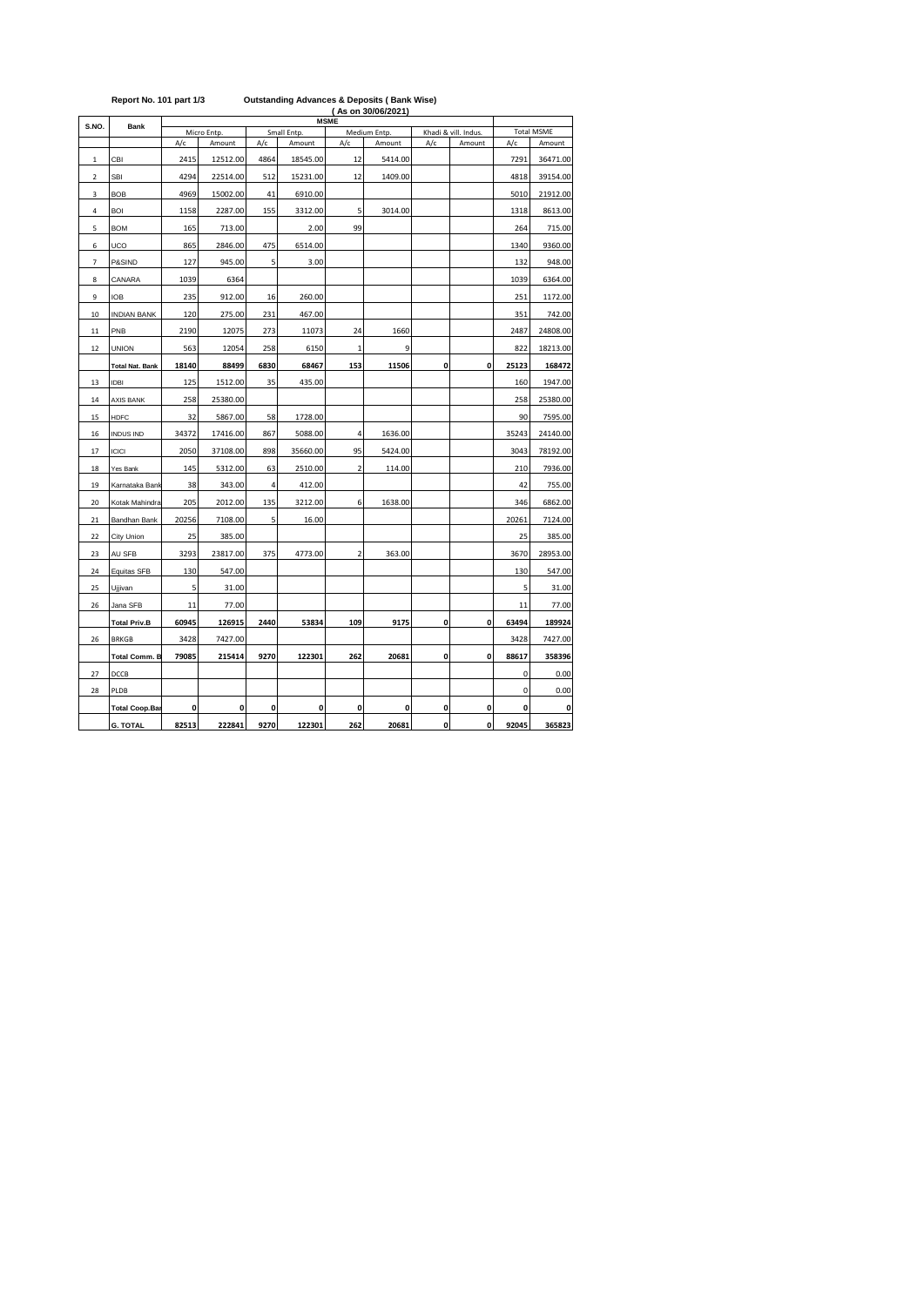|                         | Report No. 101 part 1/3 | <b>Outstanding Advances &amp; Deposits (Bank Wise)</b><br>(As on 30/06/2021)<br><b>MSME</b> |                       |      |             |                         |                        |     |                                |                   |          |  |  |  |
|-------------------------|-------------------------|---------------------------------------------------------------------------------------------|-----------------------|------|-------------|-------------------------|------------------------|-----|--------------------------------|-------------------|----------|--|--|--|
| S.NO.                   | <b>Bank</b>             |                                                                                             |                       |      | Small Entp. |                         |                        |     |                                | <b>Total MSME</b> |          |  |  |  |
|                         |                         | A/c                                                                                         | Micro Entp.<br>Amount | A/c  | Amount      | A/c                     | Medium Entp.<br>Amount | A/c | Khadi & vill. Indus.<br>Amount | A/c               | Amount   |  |  |  |
| 1                       | CBI                     | 2415                                                                                        | 12512.00              | 4864 | 18545.00    | 12                      | 5414.00                |     |                                | 7291              | 36471.00 |  |  |  |
| $\overline{\mathbf{2}}$ | <b>SBI</b>              | 4294                                                                                        | 22514.00              | 512  | 15231.00    | 12                      | 1409.00                |     |                                | 4818              | 39154.00 |  |  |  |
| 3                       | <b>BOB</b>              | 4969                                                                                        | 15002.00              | 41   | 6910.00     |                         |                        |     |                                | 5010              | 21912.00 |  |  |  |
| 4                       | <b>BOI</b>              | 1158                                                                                        | 2287.00               | 155  | 3312.00     | 5                       | 3014.00                |     |                                | 1318              | 8613.00  |  |  |  |
| 5                       | <b>BOM</b>              | 165                                                                                         | 713.00                |      | 2.00        | 99                      |                        |     |                                | 264               | 715.00   |  |  |  |
| 6                       | UCO                     | 865                                                                                         | 2846.00               | 475  | 6514.00     |                         |                        |     |                                | 1340              | 9360.00  |  |  |  |
| $\overline{7}$          | P&SIND                  | 127                                                                                         | 945.00                | 5    | 3.00        |                         |                        |     |                                | 132               | 948.00   |  |  |  |
| 8                       | CANARA                  | 1039                                                                                        | 6364                  |      |             |                         |                        |     |                                | 1039              | 6364.00  |  |  |  |
| 9                       | IOB                     | 235                                                                                         | 912.00                | 16   | 260.00      |                         |                        |     |                                | 251               | 1172.00  |  |  |  |
| 10                      | <b>INDIAN BANK</b>      | 120                                                                                         | 275.00                | 231  | 467.00      |                         |                        |     |                                | 351               | 742.00   |  |  |  |
| 11                      | PNB                     | 2190                                                                                        | 12075                 | 273  | 11073       | 24                      | 1660                   |     |                                | 2487              | 24808.00 |  |  |  |
| 12                      | <b>UNION</b>            | 563                                                                                         | 12054                 | 258  | 6150        | $\mathbf{1}$            | 9                      |     |                                | 822               | 18213.00 |  |  |  |
|                         | <b>Total Nat. Bank</b>  | 18140                                                                                       | 88499                 | 6830 | 68467       | 153                     | 11506                  | 0   | 0                              | 25123             | 168472   |  |  |  |
| 13                      | <b>IDBI</b>             | 125                                                                                         | 1512.00               | 35   | 435.00      |                         |                        |     |                                | 160               | 1947.00  |  |  |  |
| 14                      | AXIS BANK               | 258                                                                                         | 25380.00              |      |             |                         |                        |     |                                | 258               | 25380.00 |  |  |  |
| 15                      | <b>HDFC</b>             | 32                                                                                          | 5867.00               | 58   | 1728.00     |                         |                        |     |                                | 90                | 7595.00  |  |  |  |
| 16                      | <b>INDUS IND</b>        | 34372                                                                                       | 17416.00              | 867  | 5088.00     | $\overline{4}$          | 1636.00                |     |                                | 35243             | 24140.00 |  |  |  |
| 17                      | <b>ICICI</b>            | 2050                                                                                        | 37108.00              | 898  | 35660.00    | 95                      | 5424.00                |     |                                | 3043              | 78192.00 |  |  |  |
| 18                      | Yes Bank                | 145                                                                                         | 5312.00               | 63   | 2510.00     | $\overline{2}$          | 114.00                 |     |                                | 210               | 7936.00  |  |  |  |
| 19                      | Karnataka Bank          | 38                                                                                          | 343.00                | 4    | 412.00      |                         |                        |     |                                | 42                | 755.00   |  |  |  |
| 20                      | Kotak Mahindra          | 205                                                                                         | 2012.00               | 135  | 3212.00     | 6                       | 1638.00                |     |                                | 346               | 6862.00  |  |  |  |
| 21                      | Bandhan Bank            | 20256                                                                                       | 7108.00               | 5    | 16.00       |                         |                        |     |                                | 20261             | 7124.00  |  |  |  |
| 22                      | City Union              | 25                                                                                          | 385.00                |      |             |                         |                        |     |                                | 25                | 385.00   |  |  |  |
| 23                      | AU SFB                  | 3293                                                                                        | 23817.00              | 375  | 4773.00     | $\overline{\mathbf{2}}$ | 363.00                 |     |                                | 3670              | 28953.00 |  |  |  |
| 24                      | Equitas SFB             | 130                                                                                         | 547.00                |      |             |                         |                        |     |                                | 130               | 547.00   |  |  |  |
| 25                      | Ujjivan                 | 5                                                                                           | 31.00                 |      |             |                         |                        |     |                                | 5                 | 31.00    |  |  |  |
| 26                      | Jana SFB                | 11                                                                                          | 77.00                 |      |             |                         |                        |     |                                | 11                | 77.00    |  |  |  |
|                         | <b>Total Priv.B</b>     | 60945                                                                                       | 126915                | 2440 | 53834       | 109                     | 9175                   | 0   | 0                              | 63494             | 189924   |  |  |  |
| 26                      | <b>BRKGB</b>            | 3428                                                                                        | 7427.00               |      |             |                         |                        |     |                                | 3428              | 7427.00  |  |  |  |
|                         | <b>Total Comm. B</b>    | 79085                                                                                       | 215414                | 9270 | 122301      | 262                     | 20681                  | 0   | 0                              | 88617             | 358396   |  |  |  |
| 27                      | DCCB                    |                                                                                             |                       |      |             |                         |                        |     |                                | 0                 | 0.00     |  |  |  |
| 28                      | PLDB                    |                                                                                             |                       |      |             |                         |                        |     |                                | 0                 | 0.00     |  |  |  |
|                         | <b>Total Coop.Bar</b>   | 0                                                                                           | 0                     | 0    | 0           | 0                       | 0                      | 0   | 0                              | 0                 | C        |  |  |  |
|                         | <b>G. TOTAL</b>         | 82513                                                                                       | 222841                | 9270 | 122301      | 262                     | 20681                  | 0   | 0                              | 92045             | 365823   |  |  |  |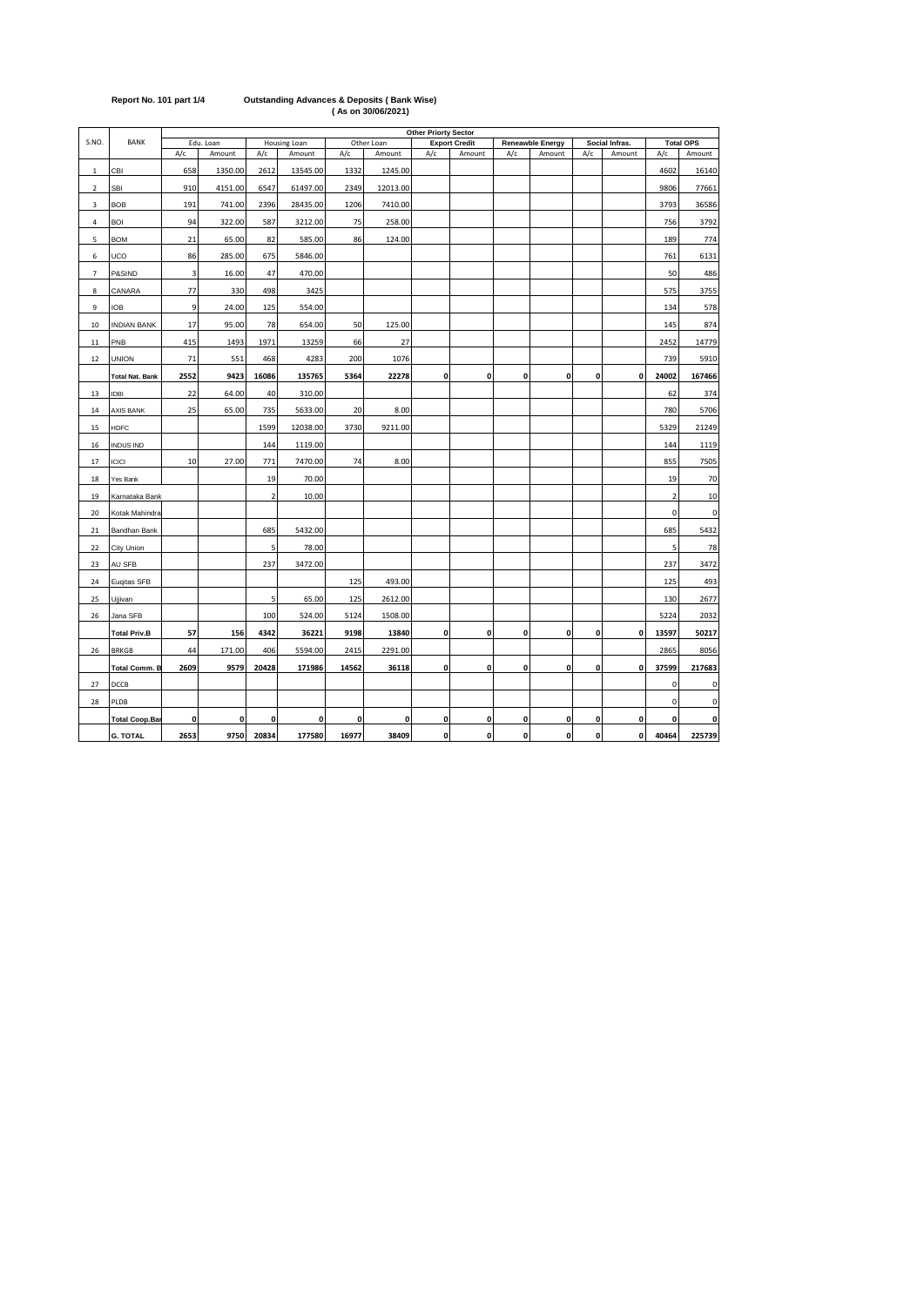|                |                        | Other Priorty Sector    |           |                         |              |       |            |              |                      |             |                         |     |                |                |                  |
|----------------|------------------------|-------------------------|-----------|-------------------------|--------------|-------|------------|--------------|----------------------|-------------|-------------------------|-----|----------------|----------------|------------------|
| S.NO.          | <b>BANK</b>            |                         | Edu. Loan |                         | Housing Loan |       | Other Loan |              | <b>Export Credit</b> |             | <b>Reneawble Energy</b> |     | Social Infras. |                | <b>Total OPS</b> |
|                |                        | A/c                     | Amount    | A/c                     | Amount       | A/c   | Amount     | A/c          | Amount               | A/c         | Amount                  | A/c | Amount         | A/c            | Amount           |
| 1              | CBI                    | 658                     | 1350.00   | 2612                    | 13545.00     | 1332  | 1245.00    |              |                      |             |                         |     |                | 4602           | 16140            |
| $\overline{2}$ | <b>SBI</b>             | 910                     | 4151.00   | 6547                    | 61497.00     | 2349  | 12013.00   |              |                      |             |                         |     |                | 9806           | 77661            |
| 3              | <b>BOB</b>             | 191                     | 741.00    | 2396                    | 28435.00     | 1206  | 7410.00    |              |                      |             |                         |     |                | 3793           | 36586            |
| 4              | BOI                    | 94                      | 322.00    | 587                     | 3212.00      | 75    | 258.00     |              |                      |             |                         |     |                | 756            | 3792             |
| 5              | <b>BOM</b>             | 21                      | 65.00     | 82                      | 585.00       | 86    | 124.00     |              |                      |             |                         |     |                | 189            | 774              |
| 6              | UCO                    | 86                      | 285.00    | 675                     | 5846.00      |       |            |              |                      |             |                         |     |                | 761            | 6131             |
| $\overline{7}$ | P&SIND                 | $\overline{\mathbf{3}}$ | 16.00     | 47                      | 470.00       |       |            |              |                      |             |                         |     |                | 50             | 486              |
| 8              | CANARA                 | 77                      | 330       | 498                     | 3425         |       |            |              |                      |             |                         |     |                | 575            | 3755             |
| 9              | IOB                    | 9                       | 24.00     | 125                     | 554.00       |       |            |              |                      |             |                         |     |                | 134            | 578              |
| 10             | <b>INDIAN BANK</b>     | 17                      | 95.00     | 78                      | 654.00       | 50    | 125.00     |              |                      |             |                         |     |                | 145            | 874              |
| $11\,$         | PNB                    | 415                     | 1493      | 1971                    | 13259        | 66    | 27         |              |                      |             |                         |     |                | 2452           | 14779            |
| 12             | <b>UNION</b>           | 71                      | 551       | 468                     | 4283         | 200   | 1076       |              |                      |             |                         |     |                | 739            | 5910             |
|                | <b>Total Nat. Bank</b> | 2552                    | 9423      | 16086                   | 135765       | 5364  | 22278      | $\mathbf{0}$ | $\mathbf{0}$         | $\mathbf 0$ | 0                       | 0   | $\mathbf 0$    | 24002          | 167466           |
| 13             | <b>IDBI</b>            | 22                      | 64.00     | 40                      | 310.00       |       |            |              |                      |             |                         |     |                | 62             | 374              |
| 14             | AXIS BANK              | 25                      | 65.00     | 735                     | 5633.00      | 20    | 8.00       |              |                      |             |                         |     |                | 780            | 5706             |
| 15             | <b>HDFC</b>            |                         |           | 1599                    | 12038.00     | 3730  | 9211.00    |              |                      |             |                         |     |                | 5329           | 21249            |
| 16             | <b>INDUS IND</b>       |                         |           | 144                     | 1119.00      |       |            |              |                      |             |                         |     |                | 144            | 1119             |
| 17             | <b>ICICI</b>           | 10                      | 27.00     | 771                     | 7470.00      | 74    | 8.00       |              |                      |             |                         |     |                | 855            | 7505             |
| 18             | Yes Bank               |                         |           | 19                      | 70.00        |       |            |              |                      |             |                         |     |                | 19             | 70               |
| 19             | Karnataka Bank         |                         |           | $\overline{\mathbf{2}}$ | 10.00        |       |            |              |                      |             |                         |     |                | $\overline{2}$ | 10               |
| 20             | Kotak Mahindra         |                         |           |                         |              |       |            |              |                      |             |                         |     |                | 0              | $\mathbf 0$      |
| 21             | Bandhan Bank           |                         |           | 685                     | 5432.00      |       |            |              |                      |             |                         |     |                | 685            | 5432             |
| 22             | City Union             |                         |           | 5                       | 78.00        |       |            |              |                      |             |                         |     |                | 5              | 78               |
| 23             | AU SFB                 |                         |           | 237                     | 3472.00      |       |            |              |                      |             |                         |     |                | 237            | 3472             |
| 24             | Eugitas SFB            |                         |           |                         |              | 125   | 493.00     |              |                      |             |                         |     |                | 125            | 493              |
| 25             | Ujjivan                |                         |           | 5                       | 65.00        | 125   | 2612.00    |              |                      |             |                         |     |                | 130            | 2677             |
| 26             | Jana SFB               |                         |           | 100                     | 524.00       | 5124  | 1508.00    |              |                      |             |                         |     |                | 5224           | 2032             |
|                | <b>Total Priv.B</b>    | 57                      | 156       | 4342                    | 36221        | 9198  | 13840      | 0            | $\pmb{0}$            | 0           | 0                       | 0   | $\pmb{0}$      | 13597          | 50217            |
| 26             | <b>BRKGB</b>           | 44                      | 171.00    | 406                     | 5594.00      | 2415  | 2291.00    |              |                      |             |                         |     |                | 2865           | 8056             |
|                | <b>Total Comm. B</b>   | 2609                    | 9579      | 20428                   | 171986       | 14562 | 36118      | 0            | $\pmb{0}$            | 0           | 0                       | 0   | 0              | 37599          | 217683           |
| 27             | DCCB                   |                         |           |                         |              |       |            |              |                      |             |                         |     |                | 0              | $\mathbf 0$      |
| 28             | PLDB                   |                         |           |                         |              |       |            |              |                      |             |                         |     |                | 0              | $\mathbf 0$      |
|                | <b>Total Coop.Ba</b>   | 0                       | 0         | 0                       | 0            | 0     | 0          | $\mathbf 0$  | $\pmb{0}$            | 0           | 0                       | 0   | 0              | 0              | 0                |
|                | <b>G. TOTAL</b>        | 2653                    | 9750      | 20834                   | 177580       | 16977 | 38409      | $\pmb{0}$    | $\mathbf 0$          | $\mathbf 0$ | 0                       | 0   | 0              | 40464          | 225739           |

## **Report No. 101 part 1/4 Outstanding Advances & Deposits ( Bank Wise) ( As on 30/06/2021)**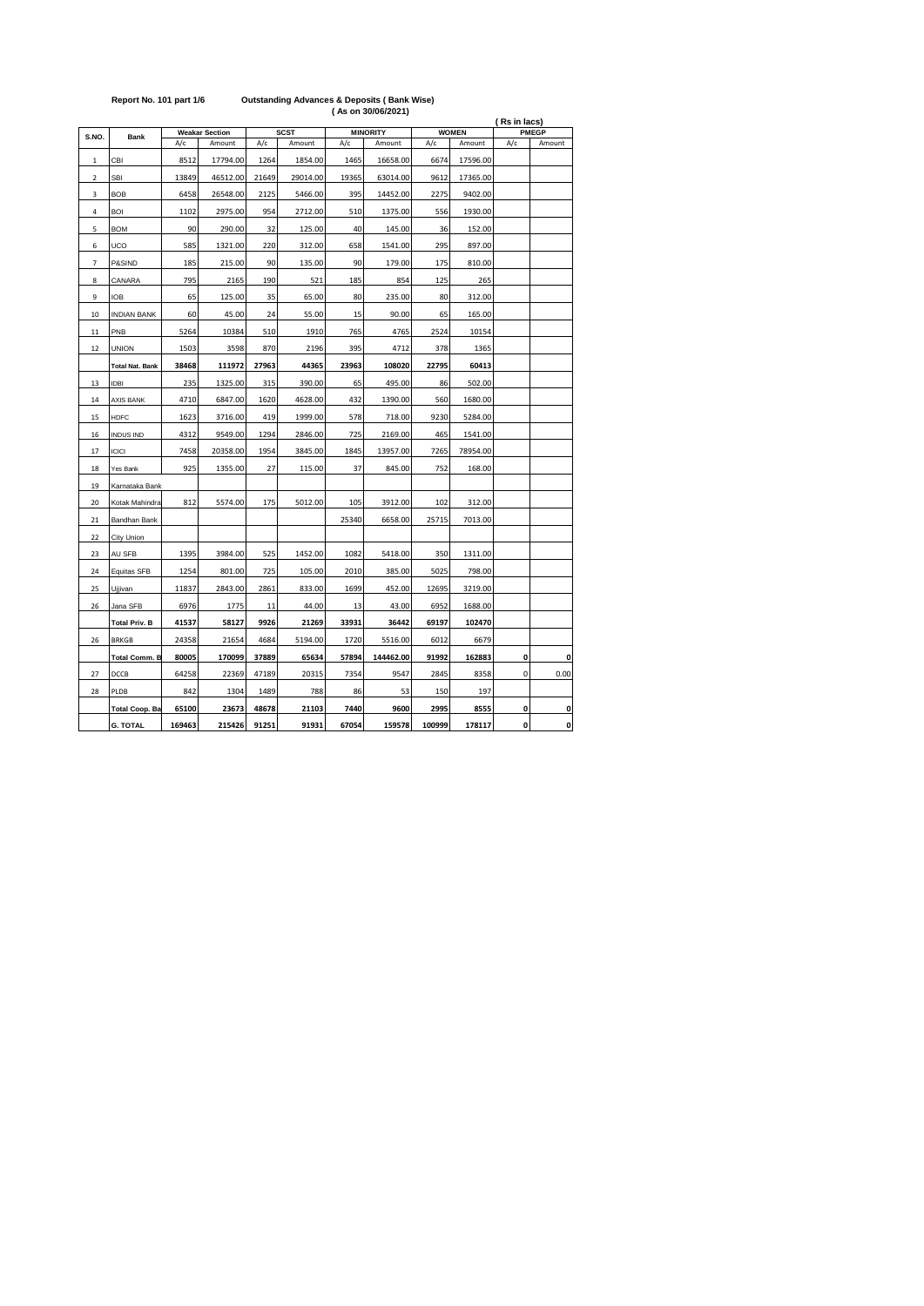|                |                        |        |                       |             |          |       | , AS VII VVIVVIL VL I J |        | (Rs in lacs) |              |                    |  |
|----------------|------------------------|--------|-----------------------|-------------|----------|-------|-------------------------|--------|--------------|--------------|--------------------|--|
| S.NO.          | <b>Bank</b>            |        | <b>Weakar Section</b> | <b>SCST</b> |          |       | <b>MINORITY</b>         |        | <b>WOMEN</b> | <b>PMEGP</b> |                    |  |
|                |                        | A/c    | Amount                | A/c         | Amount   | A/c   | Amount                  | A/c    | Amount       | A/c          | Amount             |  |
| $\,1\,$        | CBI                    | 8512   | 17794.00              | 1264        | 1854.00  | 1465  | 16658.00                | 6674   | 17596.00     |              |                    |  |
| $\mathbf 2$    | SBI                    | 13849  | 46512.00              | 21649       | 29014.00 | 19365 | 63014.00                | 9612   | 17365.00     |              |                    |  |
| 3              | <b>BOB</b>             | 6458   | 26548.00              | 2125        | 5466.00  | 395   | 14452.00                | 2275   | 9402.00      |              |                    |  |
| 4              | BOI                    | 1102   | 2975.00               | 954         | 2712.00  | 510   | 1375.00                 | 556    | 1930.00      |              |                    |  |
| 5              | <b>BOM</b>             | 90     | 290.00                | 32          | 125.00   | 40    | 145.00                  | 36     | 152.00       |              |                    |  |
| 6              | UCO                    | 585    | 1321.00               | 220         | 312.00   | 658   | 1541.00                 | 295    | 897.00       |              |                    |  |
| $\overline{7}$ | P&SIND                 | 185    | 215.00                | 90          | 135.00   | 90    | 179.00                  | 175    | 810.00       |              |                    |  |
| 8              | CANARA                 | 795    | 2165                  | 190         | 521      | 185   | 854                     | 125    | 265          |              |                    |  |
| 9              | IOB                    | 65     | 125.00                | 35          | 65.00    | 80    | 235.00                  | 80     | 312.00       |              |                    |  |
| 10             | <b>INDIAN BANK</b>     | 60     | 45.00                 | 24          | 55.00    | 15    | 90.00                   | 65     | 165.00       |              |                    |  |
| $11\,$         | PNB                    | 5264   | 10384                 | 510         | 1910     | 765   | 4765                    | 2524   | 10154        |              |                    |  |
| 12             | <b>UNION</b>           | 1503   | 3598                  | 870         | 2196     | 395   | 4712                    | 378    | 1365         |              |                    |  |
|                | <b>Total Nat. Bank</b> | 38468  | 111972                | 27963       | 44365    | 23963 | 108020                  | 22795  | 60413        |              |                    |  |
| 13             | <b>IDBI</b>            | 235    | 1325.00               | 315         | 390.00   | 65    | 495.00                  | 86     | 502.00       |              |                    |  |
| 14             | AXIS BANK              | 4710   | 6847.00               | 1620        | 4628.00  | 432   | 1390.00                 | 560    | 1680.00      |              |                    |  |
| 15             | <b>HDFC</b>            | 1623   | 3716.00               | 419         | 1999.00  | 578   | 718.00                  | 9230   | 5284.00      |              |                    |  |
| 16             | <b>INDUS IND</b>       | 4312   | 9549.00               | 1294        | 2846.00  | 725   | 2169.00                 | 465    | 1541.00      |              |                    |  |
| 17             | <b>ICICI</b>           | 7458   | 20358.00              | 1954        | 3845.00  | 1845  | 13957.00                | 7265   | 78954.00     |              |                    |  |
| 18             | Yes Bank               | 925    | 1355.00               | 27          | 115.00   | 37    | 845.00                  | 752    | 168.00       |              |                    |  |
| 19             | Karnataka Bank         |        |                       |             |          |       |                         |        |              |              |                    |  |
| 20             | Kotak Mahindra         | 812    | 5574.00               | 175         | 5012.00  | 105   | 3912.00                 | 102    | 312.00       |              |                    |  |
| 21             | Bandhan Bank           |        |                       |             |          | 25340 | 6658.00                 | 25715  | 7013.00      |              |                    |  |
| 22             | City Union             |        |                       |             |          |       |                         |        |              |              |                    |  |
| 23             | AU SFB                 | 1395   | 3984.00               | 525         | 1452.00  | 1082  | 5418.00                 | 350    | 1311.00      |              |                    |  |
| 24             | Equitas SFB            | 1254   | 801.00                | 725         | 105.00   | 2010  | 385.00                  | 5025   | 798.00       |              |                    |  |
| 25             | Ujjivan                | 11837  | 2843.00               | 2861        | 833.00   | 1699  | 452.00                  | 12695  | 3219.00      |              |                    |  |
| 26             | Jana SFB               | 6976   | 1775                  | 11          | 44.00    | 13    | 43.00                   | 6952   | 1688.00      |              |                    |  |
|                | <b>Total Priv. B</b>   | 41537  | 58127                 | 9926        | 21269    | 33931 | 36442                   | 69197  | 102470       |              |                    |  |
| 26             | <b>BRKGB</b>           | 24358  | 21654                 | 4684        | 5194.00  | 1720  | 5516.00                 | 6012   | 6679         |              |                    |  |
|                | Total Comm. B          | 80005  | 170099                | 37889       | 65634    | 57894 | 144462.00               | 91992  | 162883       | 0            | $\mathbf 0$        |  |
| 27             | DCCB                   | 64258  | 22369                 | 47189       | 20315    | 7354  | 9547                    | 2845   | 8358         | $\mathbf 0$  | 0.00               |  |
| 28             | PLDB                   | 842    | 1304                  | 1489        | 788      | 86    | 53                      | 150    | 197          |              |                    |  |
|                | <b>Total Coop. Ba</b>  | 65100  | 23673                 | 48678       | 21103    | 7440  | 9600                    | 2995   | 8555         | 0            | 0                  |  |
|                | <b>G. TOTAL</b>        | 169463 | 215426                | 91251       | 91931    | 67054 | 159578                  | 100999 | 178117       | 0            | $\pmb{\mathsf{o}}$ |  |

## **Report No. 101 part 1/6 Outstanding Advances & Deposits ( Bank Wise) ( As on 30/06/2021)**